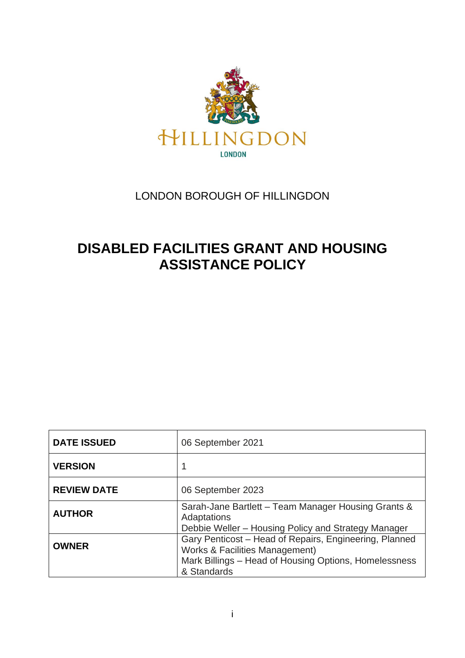

## LONDON BOROUGH OF HILLINGDON

# **DISABLED FACILITIES GRANT AND HOUSING ASSISTANCE POLICY**

| <b>DATE ISSUED</b> | 06 September 2021                                                                                                                                                           |
|--------------------|-----------------------------------------------------------------------------------------------------------------------------------------------------------------------------|
| <b>VERSION</b>     | 1                                                                                                                                                                           |
| <b>REVIEW DATE</b> | 06 September 2023                                                                                                                                                           |
| <b>AUTHOR</b>      | Sarah-Jane Bartlett – Team Manager Housing Grants &<br>Adaptations<br>Debbie Weller – Housing Policy and Strategy Manager                                                   |
| <b>OWNER</b>       | Gary Penticost - Head of Repairs, Engineering, Planned<br><b>Works &amp; Facilities Management)</b><br>Mark Billings – Head of Housing Options, Homelessness<br>& Standards |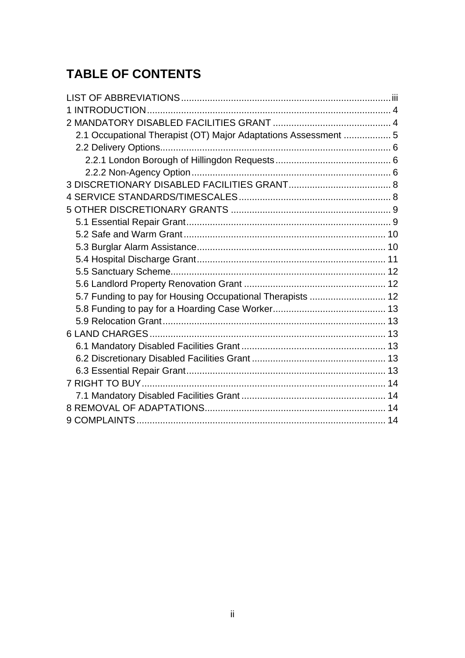# **TABLE OF CONTENTS**

| 2.1 Occupational Therapist (OT) Major Adaptations Assessment  5 |  |
|-----------------------------------------------------------------|--|
|                                                                 |  |
|                                                                 |  |
|                                                                 |  |
|                                                                 |  |
|                                                                 |  |
|                                                                 |  |
|                                                                 |  |
|                                                                 |  |
|                                                                 |  |
|                                                                 |  |
|                                                                 |  |
|                                                                 |  |
| 5.7 Funding to pay for Housing Occupational Therapists  12      |  |
|                                                                 |  |
|                                                                 |  |
|                                                                 |  |
|                                                                 |  |
|                                                                 |  |
|                                                                 |  |
|                                                                 |  |
|                                                                 |  |
|                                                                 |  |
|                                                                 |  |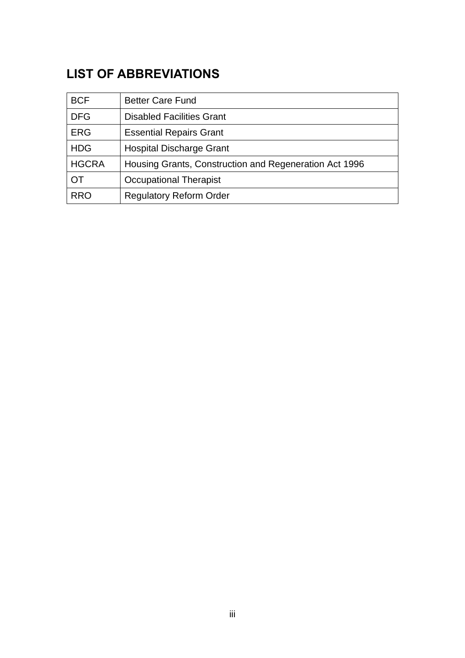# <span id="page-2-0"></span>**LIST OF ABBREVIATIONS**

| <b>BCF</b>   | <b>Better Care Fund</b>                                |
|--------------|--------------------------------------------------------|
| <b>DFG</b>   | <b>Disabled Facilities Grant</b>                       |
| <b>ERG</b>   | <b>Essential Repairs Grant</b>                         |
| <b>HDG</b>   | <b>Hospital Discharge Grant</b>                        |
| <b>HGCRA</b> | Housing Grants, Construction and Regeneration Act 1996 |
| <b>OT</b>    | <b>Occupational Therapist</b>                          |
| <b>RRO</b>   | <b>Regulatory Reform Order</b>                         |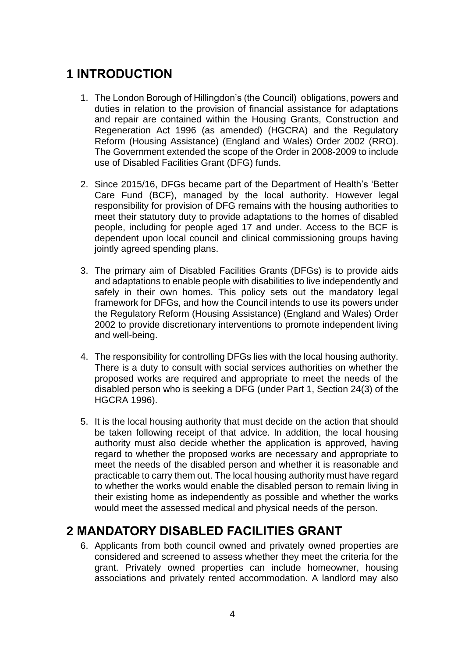# <span id="page-3-0"></span>**1 INTRODUCTION**

- 1. The London Borough of Hillingdon's (the Council) obligations, powers and duties in relation to the provision of financial assistance for adaptations and repair are contained within the Housing Grants, Construction and Regeneration Act 1996 (as amended) (HGCRA) and the Regulatory Reform (Housing Assistance) (England and Wales) Order 2002 (RRO). The Government extended the scope of the Order in 2008-2009 to include use of Disabled Facilities Grant (DFG) funds.
- 2. Since 2015/16, DFGs became part of the Department of Health's 'Better Care Fund (BCF), managed by the local authority. However legal responsibility for provision of DFG remains with the housing authorities to meet their statutory duty to provide adaptations to the homes of disabled people, including for people aged 17 and under. Access to the BCF is dependent upon local council and clinical commissioning groups having jointly agreed spending plans.
- 3. The primary aim of Disabled Facilities Grants (DFGs) is to provide aids and adaptations to enable people with disabilities to live independently and safely in their own homes. This policy sets out the mandatory legal framework for DFGs, and how the Council intends to use its powers under the Regulatory Reform (Housing Assistance) (England and Wales) Order 2002 to provide discretionary interventions to promote independent living and well-being.
- 4. The responsibility for controlling DFGs lies with the local housing authority. There is a duty to consult with social services authorities on whether the proposed works are required and appropriate to meet the needs of the disabled person who is seeking a DFG (under Part 1, Section 24(3) of the HGCRA 1996).
- 5. It is the local housing authority that must decide on the action that should be taken following receipt of that advice. In addition, the local housing authority must also decide whether the application is approved, having regard to whether the proposed works are necessary and appropriate to meet the needs of the disabled person and whether it is reasonable and practicable to carry them out. The local housing authority must have regard to whether the works would enable the disabled person to remain living in their existing home as independently as possible and whether the works would meet the assessed medical and physical needs of the person.

# <span id="page-3-1"></span>**2 MANDATORY DISABLED FACILITIES GRANT**

6. Applicants from both council owned and privately owned properties are considered and screened to assess whether they meet the criteria for the grant. Privately owned properties can include homeowner, housing associations and privately rented accommodation. A landlord may also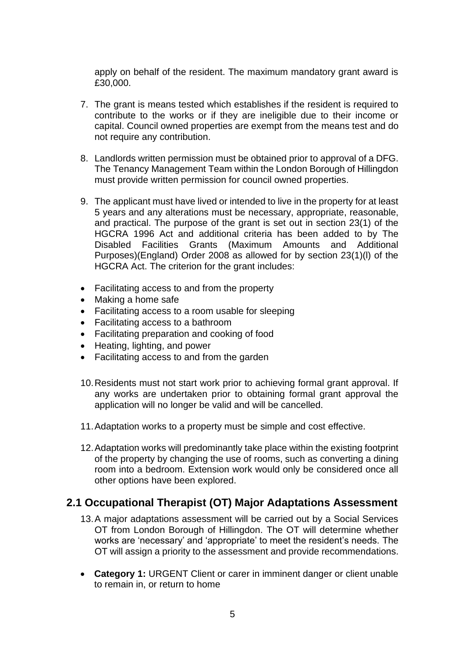apply on behalf of the resident. The maximum mandatory grant award is £30,000.

- 7. The grant is means tested which establishes if the resident is required to contribute to the works or if they are ineligible due to their income or capital. Council owned properties are exempt from the means test and do not require any contribution.
- 8. Landlords written permission must be obtained prior to approval of a DFG. The Tenancy Management Team within the London Borough of Hillingdon must provide written permission for council owned properties.
- 9. The applicant must have lived or intended to live in the property for at least 5 years and any alterations must be necessary, appropriate, reasonable, and practical. The purpose of the grant is set out in section 23(1) of the HGCRA 1996 Act and additional criteria has been added to by The Disabled Facilities Grants (Maximum Amounts and Additional Purposes)(England) Order 2008 as allowed for by section 23(1)(l) of the HGCRA Act. The criterion for the grant includes:
- Facilitating access to and from the property
- Making a home safe
- Facilitating access to a room usable for sleeping
- Facilitating access to a bathroom
- Facilitating preparation and cooking of food
- Heating, lighting, and power
- Facilitating access to and from the garden
- 10.Residents must not start work prior to achieving formal grant approval. If any works are undertaken prior to obtaining formal grant approval the application will no longer be valid and will be cancelled.
- 11.Adaptation works to a property must be simple and cost effective.
- 12.Adaptation works will predominantly take place within the existing footprint of the property by changing the use of rooms, such as converting a dining room into a bedroom. Extension work would only be considered once all other options have been explored.

### <span id="page-4-0"></span>**2.1 Occupational Therapist (OT) Major Adaptations Assessment**

- 13.A major adaptations assessment will be carried out by a Social Services OT from London Borough of Hillingdon. The OT will determine whether works are 'necessary' and 'appropriate' to meet the resident's needs. The OT will assign a priority to the assessment and provide recommendations.
- **Category 1:** URGENT Client or carer in imminent danger or client unable to remain in, or return to home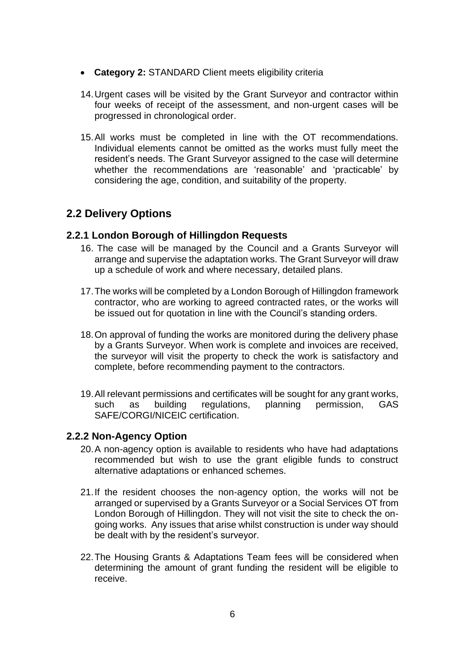- **Category 2:** STANDARD Client meets eligibility criteria
- 14.Urgent cases will be visited by the Grant Surveyor and contractor within four weeks of receipt of the assessment, and non-urgent cases will be progressed in chronological order.
- 15.All works must be completed in line with the OT recommendations. Individual elements cannot be omitted as the works must fully meet the resident's needs. The Grant Surveyor assigned to the case will determine whether the recommendations are 'reasonable' and 'practicable' by considering the age, condition, and suitability of the property.

### <span id="page-5-0"></span>**2.2 Delivery Options**

#### <span id="page-5-1"></span>**2.2.1 London Borough of Hillingdon Requests**

- 16. The case will be managed by the Council and a Grants Surveyor will arrange and supervise the adaptation works. The Grant Surveyor will draw up a schedule of work and where necessary, detailed plans.
- 17.The works will be completed by a London Borough of Hillingdon framework contractor, who are working to agreed contracted rates, or the works will be issued out for quotation in line with the Council's standing orders.
- 18.On approval of funding the works are monitored during the delivery phase by a Grants Surveyor. When work is complete and invoices are received, the surveyor will visit the property to check the work is satisfactory and complete, before recommending payment to the contractors.
- 19.All relevant permissions and certificates will be sought for any grant works, such as building regulations, planning permission, GAS SAFE/CORGI/NICEIC certification.

#### <span id="page-5-2"></span>**2.2.2 Non-Agency Option**

- 20.A non-agency option is available to residents who have had adaptations recommended but wish to use the grant eligible funds to construct alternative adaptations or enhanced schemes.
- 21.If the resident chooses the non-agency option, the works will not be arranged or supervised by a Grants Surveyor or a Social Services OT from London Borough of Hillingdon. They will not visit the site to check the ongoing works. Any issues that arise whilst construction is under way should be dealt with by the resident's surveyor.
- 22.The Housing Grants & Adaptations Team fees will be considered when determining the amount of grant funding the resident will be eligible to receive.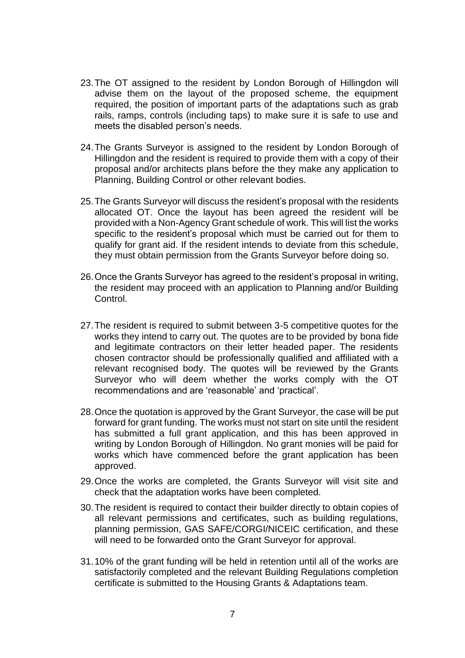- 23.The OT assigned to the resident by London Borough of Hillingdon will advise them on the layout of the proposed scheme, the equipment required, the position of important parts of the adaptations such as grab rails, ramps, controls (including taps) to make sure it is safe to use and meets the disabled person's needs.
- 24.The Grants Surveyor is assigned to the resident by London Borough of Hillingdon and the resident is required to provide them with a copy of their proposal and/or architects plans before the they make any application to Planning, Building Control or other relevant bodies.
- 25.The Grants Surveyor will discuss the resident's proposal with the residents allocated OT. Once the layout has been agreed the resident will be provided with a Non-Agency Grant schedule of work. This will list the works specific to the resident's proposal which must be carried out for them to qualify for grant aid. If the resident intends to deviate from this schedule, they must obtain permission from the Grants Surveyor before doing so.
- 26.Once the Grants Surveyor has agreed to the resident's proposal in writing, the resident may proceed with an application to Planning and/or Building Control.
- 27.The resident is required to submit between 3-5 competitive quotes for the works they intend to carry out. The quotes are to be provided by bona fide and legitimate contractors on their letter headed paper. The residents chosen contractor should be professionally qualified and affiliated with a relevant recognised body. The quotes will be reviewed by the Grants Surveyor who will deem whether the works comply with the OT recommendations and are 'reasonable' and 'practical'.
- 28.Once the quotation is approved by the Grant Surveyor, the case will be put forward for grant funding. The works must not start on site until the resident has submitted a full grant application, and this has been approved in writing by London Borough of Hillingdon. No grant monies will be paid for works which have commenced before the grant application has been approved.
- 29.Once the works are completed, the Grants Surveyor will visit site and check that the adaptation works have been completed.
- 30.The resident is required to contact their builder directly to obtain copies of all relevant permissions and certificates, such as building regulations, planning permission, GAS SAFE/CORGI/NICEIC certification, and these will need to be forwarded onto the Grant Surveyor for approval.
- 31.10% of the grant funding will be held in retention until all of the works are satisfactorily completed and the relevant Building Regulations completion certificate is submitted to the Housing Grants & Adaptations team.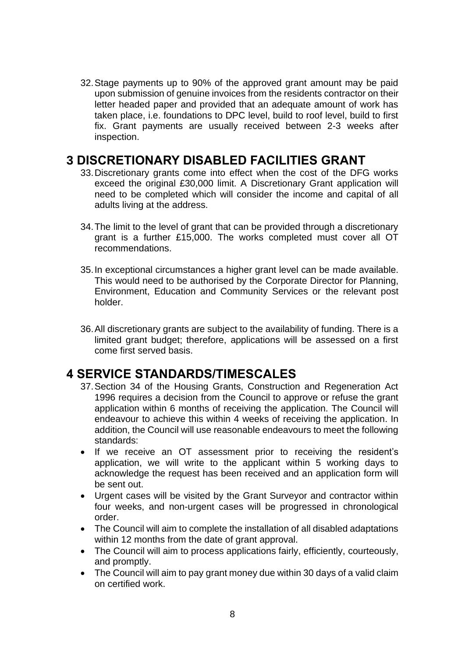32.Stage payments up to 90% of the approved grant amount may be paid upon submission of genuine invoices from the residents contractor on their letter headed paper and provided that an adequate amount of work has taken place, i.e. foundations to DPC level, build to roof level, build to first fix. Grant payments are usually received between 2-3 weeks after inspection.

## <span id="page-7-0"></span>**3 DISCRETIONARY DISABLED FACILITIES GRANT**

- 33.Discretionary grants come into effect when the cost of the DFG works exceed the original £30,000 limit. A Discretionary Grant application will need to be completed which will consider the income and capital of all adults living at the address.
- 34.The limit to the level of grant that can be provided through a discretionary grant is a further £15,000. The works completed must cover all OT recommendations.
- 35.In exceptional circumstances a higher grant level can be made available. This would need to be authorised by the Corporate Director for Planning, Environment, Education and Community Services or the relevant post holder.
- 36.All discretionary grants are subject to the availability of funding. There is a limited grant budget; therefore, applications will be assessed on a first come first served basis.

# <span id="page-7-1"></span>**4 SERVICE STANDARDS/TIMESCALES**

- 37.Section 34 of the Housing Grants, Construction and Regeneration Act 1996 requires a decision from the Council to approve or refuse the grant application within 6 months of receiving the application. The Council will endeavour to achieve this within 4 weeks of receiving the application. In addition, the Council will use reasonable endeavours to meet the following standards:
- If we receive an OT assessment prior to receiving the resident's application, we will write to the applicant within 5 working days to acknowledge the request has been received and an application form will be sent out.
- Urgent cases will be visited by the Grant Surveyor and contractor within four weeks, and non-urgent cases will be progressed in chronological order.
- The Council will aim to complete the installation of all disabled adaptations within 12 months from the date of grant approval.
- The Council will aim to process applications fairly, efficiently, courteously, and promptly.
- The Council will aim to pay grant money due within 30 days of a valid claim on certified work.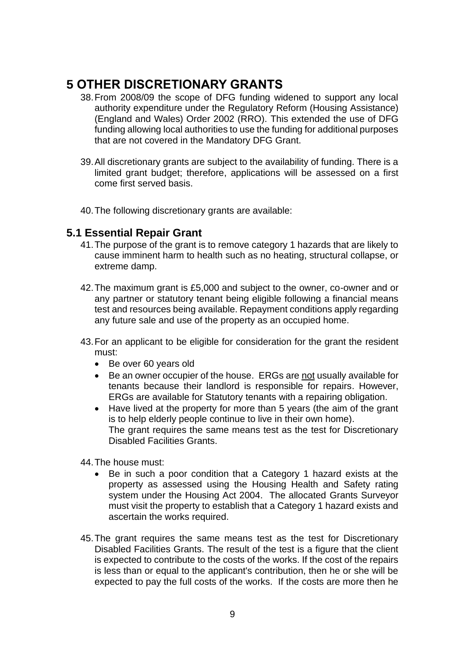# <span id="page-8-0"></span>**5 OTHER DISCRETIONARY GRANTS**

- 38.From 2008/09 the scope of DFG funding widened to support any local authority expenditure under the Regulatory Reform (Housing Assistance) (England and Wales) Order 2002 (RRO). This extended the use of DFG funding allowing local authorities to use the funding for additional purposes that are not covered in the Mandatory DFG Grant.
- 39.All discretionary grants are subject to the availability of funding. There is a limited grant budget; therefore, applications will be assessed on a first come first served basis.
- 40.The following discretionary grants are available:

#### <span id="page-8-1"></span>**5.1 Essential Repair Grant**

- 41.The purpose of the grant is to remove category 1 hazards that are likely to cause imminent harm to health such as no heating, structural collapse, or extreme damp.
- 42.The maximum grant is £5,000 and subject to the owner, co-owner and or any partner or statutory tenant being eligible following a financial means test and resources being available. Repayment conditions apply regarding any future sale and use of the property as an occupied home.
- 43.For an applicant to be eligible for consideration for the grant the resident must:
	- Be over 60 years old
	- Be an owner occupier of the house. ERGs are not usually available for tenants because their landlord is responsible for repairs. However, ERGs are available for Statutory tenants with a repairing obligation.
	- Have lived at the property for more than 5 years (the aim of the grant is to help elderly people continue to live in their own home). The grant requires the same means test as the test for Discretionary Disabled Facilities Grants.
- 44.The house must:
	- Be in such a poor condition that a Category 1 hazard exists at the property as assessed using the Housing Health and Safety rating system under the Housing Act 2004. The allocated Grants Surveyor must visit the property to establish that a Category 1 hazard exists and ascertain the works required.
- 45.The grant requires the same means test as the test for Discretionary Disabled Facilities Grants. The result of the test is a figure that the client is expected to contribute to the costs of the works. If the cost of the repairs is less than or equal to the applicant's contribution, then he or she will be expected to pay the full costs of the works. If the costs are more then he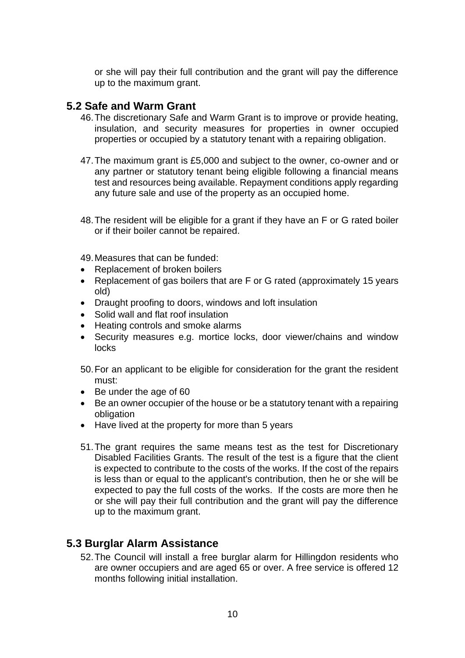or she will pay their full contribution and the grant will pay the difference up to the maximum grant.

#### <span id="page-9-0"></span>**5.2 Safe and Warm Grant**

- 46.The discretionary Safe and Warm Grant is to improve or provide heating, insulation, and security measures for properties in owner occupied properties or occupied by a statutory tenant with a repairing obligation.
- 47.The maximum grant is £5,000 and subject to the owner, co-owner and or any partner or statutory tenant being eligible following a financial means test and resources being available. Repayment conditions apply regarding any future sale and use of the property as an occupied home.
- 48.The resident will be eligible for a grant if they have an F or G rated boiler or if their boiler cannot be repaired.

49.Measures that can be funded:

- Replacement of broken boilers
- Replacement of gas boilers that are F or G rated (approximately 15 years old)
- Draught proofing to doors, windows and loft insulation
- Solid wall and flat roof insulation
- Heating controls and smoke alarms
- Security measures e.g. mortice locks, door viewer/chains and window locks

50.For an applicant to be eligible for consideration for the grant the resident must:

- Be under the age of 60
- Be an owner occupier of the house or be a statutory tenant with a repairing obligation
- Have lived at the property for more than 5 years
- 51.The grant requires the same means test as the test for Discretionary Disabled Facilities Grants. The result of the test is a figure that the client is expected to contribute to the costs of the works. If the cost of the repairs is less than or equal to the applicant's contribution, then he or she will be expected to pay the full costs of the works. If the costs are more then he or she will pay their full contribution and the grant will pay the difference up to the maximum grant.

### <span id="page-9-1"></span>**5.3 Burglar Alarm Assistance**

52.The Council will install a free burglar alarm for Hillingdon residents who are owner occupiers and are aged 65 or over. A free service is offered 12 months following initial installation.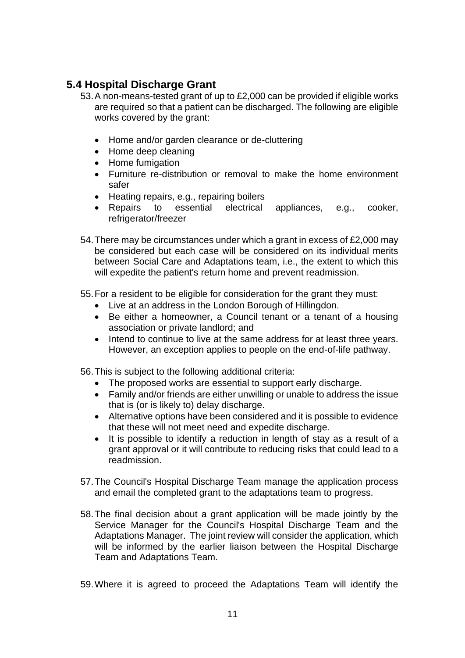### <span id="page-10-0"></span>**5.4 Hospital Discharge Grant**

- 53.A non-means-tested grant of up to £2,000 can be provided if eligible works are required so that a patient can be discharged. The following are eligible works covered by the grant:
	- Home and/or garden clearance or de-cluttering
	- Home deep cleaning
	- Home fumigation
	- Furniture re-distribution or removal to make the home environment safer
	- Heating repairs, e.g., repairing boilers
	- Repairs to essential electrical appliances, e.g., cooker, refrigerator/freezer
- 54.There may be circumstances under which a grant in excess of £2,000 may be considered but each case will be considered on its individual merits between Social Care and Adaptations team, i.e., the extent to which this will expedite the patient's return home and prevent readmission.
- 55.For a resident to be eligible for consideration for the grant they must:
	- Live at an address in the London Borough of Hillingdon.
	- Be either a homeowner, a Council tenant or a tenant of a housing association or private landlord; and
	- Intend to continue to live at the same address for at least three years. However, an exception applies to people on the end-of-life pathway.
- 56.This is subject to the following additional criteria:
	- The proposed works are essential to support early discharge.
	- Family and/or friends are either unwilling or unable to address the issue that is (or is likely to) delay discharge.
	- Alternative options have been considered and it is possible to evidence that these will not meet need and expedite discharge.
	- It is possible to identify a reduction in length of stay as a result of a grant approval or it will contribute to reducing risks that could lead to a readmission.
- 57.The Council's Hospital Discharge Team manage the application process and email the completed grant to the adaptations team to progress.
- 58.The final decision about a grant application will be made jointly by the Service Manager for the Council's Hospital Discharge Team and the Adaptations Manager. The joint review will consider the application, which will be informed by the earlier liaison between the Hospital Discharge Team and Adaptations Team.

59.Where it is agreed to proceed the Adaptations Team will identify the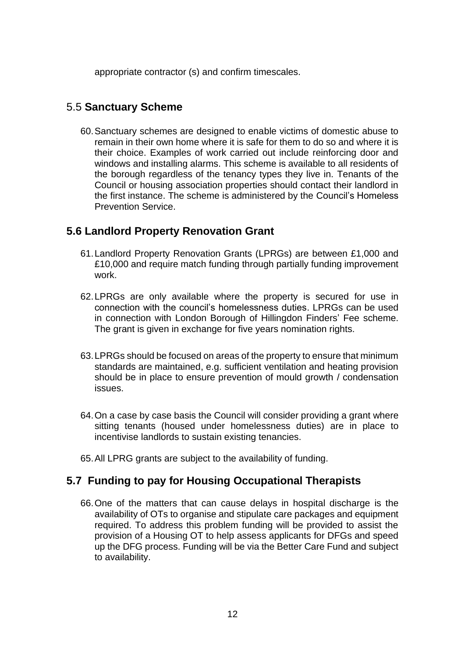appropriate contractor (s) and confirm timescales.

#### <span id="page-11-0"></span>5.5 **Sanctuary Scheme**

60.Sanctuary schemes are designed to enable victims of domestic abuse to remain in their own home where it is safe for them to do so and where it is their choice. Examples of work carried out include reinforcing door and windows and installing alarms. This scheme is available to all residents of the borough regardless of the tenancy types they live in. Tenants of the Council or housing association properties should contact their landlord in the first instance. The scheme is administered by the Council's Homeless Prevention Service.

### <span id="page-11-1"></span>**5.6 Landlord Property Renovation Grant**

- 61.Landlord Property Renovation Grants (LPRGs) are between £1,000 and £10,000 and require match funding through partially funding improvement work.
- 62.LPRGs are only available where the property is secured for use in connection with the council's homelessness duties. LPRGs can be used in connection with London Borough of Hillingdon Finders' Fee scheme. The grant is given in exchange for five years nomination rights.
- 63.LPRGs should be focused on areas of the property to ensure that minimum standards are maintained, e.g. sufficient ventilation and heating provision should be in place to ensure prevention of mould growth / condensation issues.
- 64.On a case by case basis the Council will consider providing a grant where sitting tenants (housed under homelessness duties) are in place to incentivise landlords to sustain existing tenancies.
- 65.All LPRG grants are subject to the availability of funding.

### <span id="page-11-2"></span>**5.7 Funding to pay for Housing Occupational Therapists**

66.One of the matters that can cause delays in hospital discharge is the availability of OTs to organise and stipulate care packages and equipment required. To address this problem funding will be provided to assist the provision of a Housing OT to help assess applicants for DFGs and speed up the DFG process. Funding will be via the Better Care Fund and subject to availability.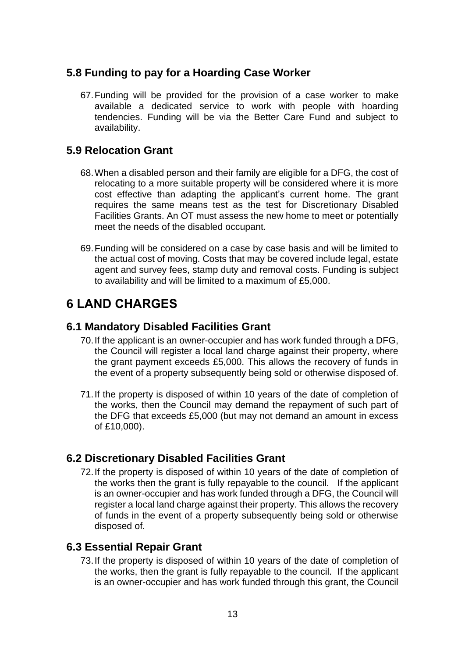### <span id="page-12-0"></span>**5.8 Funding to pay for a Hoarding Case Worker**

67.Funding will be provided for the provision of a case worker to make available a dedicated service to work with people with hoarding tendencies. Funding will be via the Better Care Fund and subject to availability.

### <span id="page-12-1"></span>**5.9 Relocation Grant**

- 68.When a disabled person and their family are eligible for a DFG, the cost of relocating to a more suitable property will be considered where it is more cost effective than adapting the applicant's current home. The grant requires the same means test as the test for Discretionary Disabled Facilities Grants. An OT must assess the new home to meet or potentially meet the needs of the disabled occupant.
- 69.Funding will be considered on a case by case basis and will be limited to the actual cost of moving. Costs that may be covered include legal, estate agent and survey fees, stamp duty and removal costs. Funding is subject to availability and will be limited to a maximum of £5,000.

# <span id="page-12-2"></span>**6 LAND CHARGES**

#### <span id="page-12-3"></span>**6.1 Mandatory Disabled Facilities Grant**

- 70.If the applicant is an owner-occupier and has work funded through a DFG, the Council will register a local land charge against their property, where the grant payment exceeds £5,000. This allows the recovery of funds in the event of a property subsequently being sold or otherwise disposed of.
- 71.If the property is disposed of within 10 years of the date of completion of the works, then the Council may demand the repayment of such part of the DFG that exceeds £5,000 (but may not demand an amount in excess of £10,000).

### <span id="page-12-4"></span>**6.2 Discretionary Disabled Facilities Grant**

72.If the property is disposed of within 10 years of the date of completion of the works then the grant is fully repayable to the council. If the applicant is an owner-occupier and has work funded through a DFG, the Council will register a local land charge against their property. This allows the recovery of funds in the event of a property subsequently being sold or otherwise disposed of.

### <span id="page-12-5"></span>**6.3 Essential Repair Grant**

73.If the property is disposed of within 10 years of the date of completion of the works, then the grant is fully repayable to the council. If the applicant is an owner-occupier and has work funded through this grant, the Council